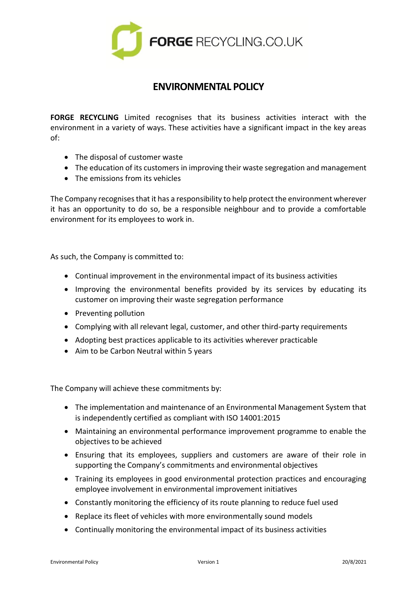

## **ENVIRONMENTAL POLICY**

**FORGE RECYCLING** Limited recognises that its business activities interact with the environment in a variety of ways. These activities have a significant impact in the key areas of:

- The disposal of customer waste
- The education of its customers in improving their waste segregation and management
- The emissions from its vehicles

The Company recognises that it has a responsibility to help protect the environment wherever it has an opportunity to do so, be a responsible neighbour and to provide a comfortable environment for its employees to work in.

As such, the Company is committed to:

- Continual improvement in the environmental impact of its business activities
- Improving the environmental benefits provided by its services by educating its customer on improving their waste segregation performance
- Preventing pollution
- Complying with all relevant legal, customer, and other third-party requirements
- Adopting best practices applicable to its activities wherever practicable
- Aim to be Carbon Neutral within 5 years

The Company will achieve these commitments by:

- The implementation and maintenance of an Environmental Management System that is independently certified as compliant with ISO 14001:2015
- Maintaining an environmental performance improvement programme to enable the objectives to be achieved
- Ensuring that its employees, suppliers and customers are aware of their role in supporting the Company's commitments and environmental objectives
- Training its employees in good environmental protection practices and encouraging employee involvement in environmental improvement initiatives
- Constantly monitoring the efficiency of its route planning to reduce fuel used
- Replace its fleet of vehicles with more environmentally sound models
- Continually monitoring the environmental impact of its business activities